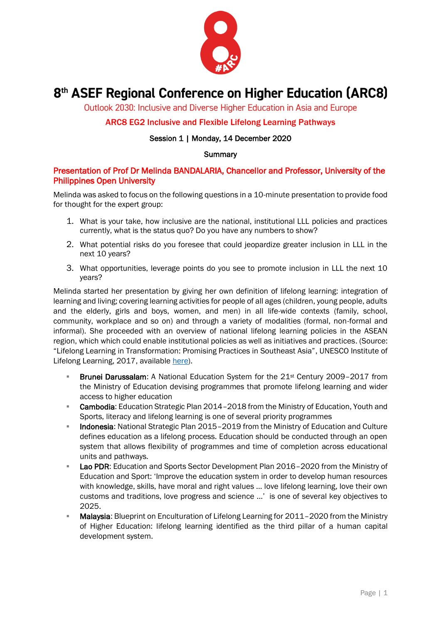

# 8<sup>th</sup> ASEF Regional Conference on Higher Education (ARC8)

Outlook 2030: Inclusive and Diverse Higher Education in Asia and Europe

# ARC8 EG2 Inclusive and Flexible Lifelong Learning Pathways

## Session 1 | Monday, 14 December 2020

#### **Summary**

## Presentation of Prof Dr Melinda BANDALARIA, Chancellor and Professor, University of the Philippines Open University

Melinda was asked to focus on the following questions in a 10-minute presentation to provide food for thought for the expert group:

- 1. What is your take, how inclusive are the national, institutional LLL policies and practices currently, what is the status quo? Do you have any numbers to show?
- 2. What potential risks do you foresee that could jeopardize greater inclusion in LLL in the next 10 years?
- 3. What opportunities, leverage points do you see to promote inclusion in LLL the next 10 years?

Melinda started her presentation by giving her own definition of lifelong learning: integration of learning and living; covering learning activities for people of all ages (children, young people, adults and the elderly, girls and boys, women, and men) in all life-wide contexts (family, school, community, workplace and so on) and through a variety of modalities (formal, non-formal and informal). She proceeded with an overview of national lifelong learning policies in the ASEAN region, which which could enable institutional policies as well as initiatives and practices. (Source: "Lifelong Learning in Transformation: Promising Practices in Southeast Asia", UNESCO Institute of Lifelong Learning, 2017, available [here\)](https://uil.unesco.org/lifelong-learning/policies-database/lifelong-learning-transformation-promising-practices-southeast).

- Brunei Darussalam: A National Education System for the 21<sup>st</sup> Century 2009–2017 from the Ministry of Education devising programmes that promote lifelong learning and wider access to higher education
- Cambodia: Education Strategic Plan 2014-2018 from the Ministry of Education, Youth and Sports, literacy and lifelong learning is one of several priority programmes
- **Indonesia:** National Strategic Plan 2015-2019 from the Ministry of Education and Culture defines education as a lifelong process. Education should be conducted through an open system that allows flexibility of programmes and time of completion across educational units and pathways.
- **Lao PDR:** Education and Sports Sector Development Plan 2016–2020 from the Ministry of Education and Sport: 'Improve the education system in order to develop human resources with knowledge, skills, have moral and right values ... love lifelong learning, love their own customs and traditions, love progress and science ...' is one of several key objectives to 2025.
- **Malaysia:** Blueprint on Enculturation of Lifelong Learning for 2011–2020 from the Ministry of Higher Education: lifelong learning identified as the third pillar of a human capital development system.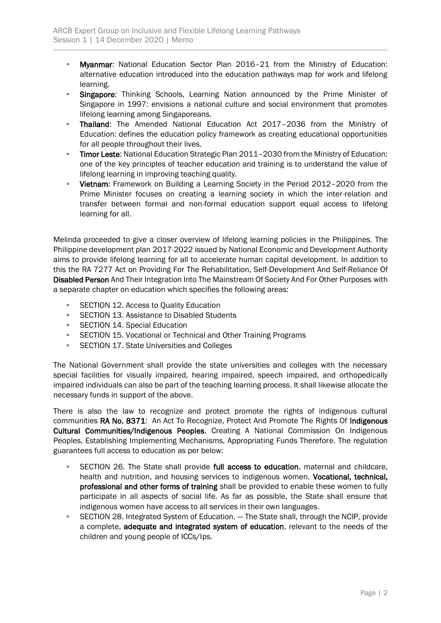- **Myanmar:** National Education Sector Plan 2016-21 from the Ministry of Education: alternative education introduced into the education pathways map for work and lifelong learning.
- **E.** Singapore: Thinking Schools, Learning Nation announced by the Prime Minister of Singapore in 1997: envisions a national culture and social environment that promotes lifelong learning among Singaporeans.
- Thailand: The Amended National Education Act 2017–2036 from the Ministry of Education: defines the education policy framework as creating educational opportunities for all people throughout their lives.
- **Timor Leste:** National Education Strategic Plan 2011-2030 from the Ministry of Education: one of the key principles of teacher education and training is to understand the value of lifelong learning in improving teaching quality.
- **EXED Vietnam:** Framework on Building a Learning Society in the Period 2012–2020 from the Prime Minister focuses on creating a learning society in which the inter-relation and transfer between formal and non-formal education support equal access to lifelong learning for all.

Melinda proceeded to give a closer overview of lifelong learning policies in the Philippines. The Philippine development plan 2017-2022 issued by National Economic and Development Authority aims to provide lifelong learning for all to accelerate human capital development. In addition to this the RA 7277 Act on Providing For The Rehabilitation, Self-Development And Self-Reliance Of Disabled Person And Their Integration Into The Mainstream Of Society And For Other Purposes with a separate chapter on education which specifies the following areas:

- SECTION 12. Access to Ouality Education
- **EXECTION 13. Assistance to Disabled Students**
- SECTION 14. Special Education
- **EXECTION 15. Vocational or Technical and Other Training Programs**
- **EXECTION 17. State Universities and Colleges**

The National Government shall provide the state universities and colleges with the necessary special facilities for visually impaired, hearing impaired, speech impaired, and orthopedically impaired individuals can also be part of the teaching learning process. It shall likewise allocate the necessary funds in support of the above.

There is also the law to recognize and protect promote the rights of indigenous cultural communities RA No. 8371: An Act To Recognize, Protect And Promote The Rights Of Indigenous Cultural Communities/Indigenous Peoples, Creating A National Commission On Indigenous Peoples, Establishing Implementing Mechanisms, Appropriating Funds Therefore. The regulation guarantees full access to education as per below:

- **EXECTION 26. The State shall provide full access to education**, maternal and childcare, health and nutrition, and housing services to indigenous women. Vocational, technical, professional and other forms of training shall be provided to enable these women to fully participate in all aspects of social life. As far as possible, the State shall ensure that indigenous women have access to all services in their own languages.
- **EXECTION 28. Integrated System of Education.** The State shall, through the NCIP, provide a complete, adequate and integrated system of education, relevant to the needs of the children and young people of ICCs/Ips.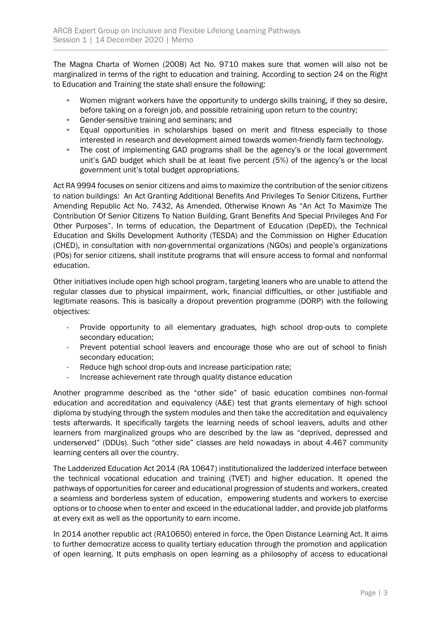The Magna Charta of Women (2008) Act No. 9710 makes sure that women will also not be marginalized in terms of the right to education and training. According to section 24 on the Right to Education and Training the state shall ensure the following:

- Women migrant workers have the opportunity to undergo skills training, if they so desire, before taking on a foreign job, and possible retraining upon return to the country;
- Gender-sensitive training and seminars; and
- Equal opportunities in scholarships based on merit and fitness especially to those interested in research and development aimed towards women-friendly farm technology.
- The cost of implementing GAD programs shall be the agency's or the local government unit's GAD budget which shall be at least five percent (5%) of the agency's or the local government unit's total budget appropriations.

Act RA 9994 focuses on senior citizens and aims to maximize the contribution of the senior citizens to nation buildings: An Act Granting Additional Benefits And Privileges To Senior Citizens, Further Amending Republic Act No. 7432, As Amended, Otherwise Known As "An Act To Maximize The Contribution Of Senior Citizens To Nation Building, Grant Benefits And Special Privileges And For Other Purposes". In terms of education, the Department of Education (DepED), the Technical Education and Skills Development Authority (TESDA) and the Commission on Higher Education (CHED), in consultation with non-governmental organizations (NGOs) and people's organizations (POs) for senior citizens, shall institute programs that will ensure access to formal and nonformal education.

Other initiatives include open high school program, targeting leaners who are unable to attend the regular classes due to physical impairment, work, financial difficulties, or other justifiable and legitimate reasons. This is basically a dropout prevention programme (DORP) with the following objectives:

- Provide opportunity to all elementary graduates, high school drop-outs to complete secondary education;
- Prevent potential school leavers and encourage those who are out of school to finish secondary education;
- Reduce high school drop-outs and increase participation rate;
- Increase achievement rate through quality distance education

Another programme described as the "other side" of basic education combines non-formal education and accreditation and equivalency (A&E) test that grants elementary of high school diploma by studying through the system modules and then take the accreditation and equivalency tests afterwards. It specifically targets the learning needs of school leavers, adults and other learners from marginalized groups who are described by the law as "deprived, depressed and underserved" (DDUs). Such "other side" classes are held nowadays in about 4.467 community learning centers all over the country.

The Ladderized Education Act 2014 (RA 10647) institutionalized the ladderized interface between the technical vocational education and training (TVET) and higher education. It opened the pathways of opportunities for career and educational progression of students and workers, created a seamless and borderless system of education, empowering students and workers to exercise options or to choose when to enter and exceed in the educational ladder, and provide job platforms at every exit as well as the opportunity to earn income.

In 2014 another republic act (RA10650) entered in force, the Open Distance Learning Act. It aims to further democratize access to quality tertiary education through the promotion and application of open learning. It puts emphasis on open learning as a philosophy of access to educational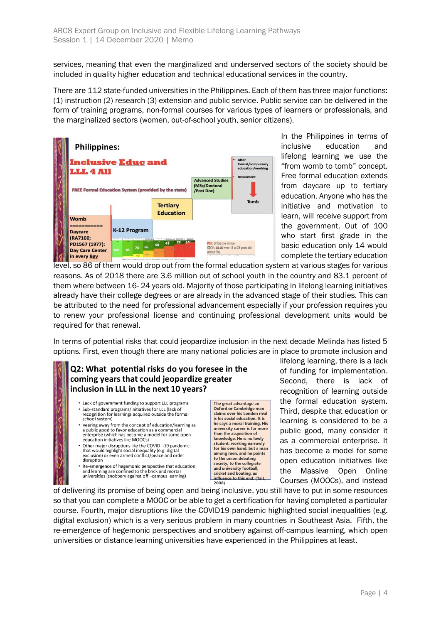services, meaning that even the marginalized and underserved sectors of the society should be included in quality higher education and technical educational services in the country.

There are 112 state-funded universities in the Philippines. Each of them has three major functions: (1) instruction (2) research (3) extension and public service. Public service can be delivered in the form of training programs, non-formal courses for various types of learners or professionals, and the marginalized sectors (women, out-of-school youth, senior citizens).



In the Philippines in terms of inclusive education and lifelong learning we use the "from womb to tomb" concept. Free formal education extends from daycare up to tertiary education. Anyone who has the initiative and motivation to learn, will receive support from the government. Out of 100 who start first grade in the basic education only 14 would complete the tertiary education

level, so 86 of them would drop out from the formal education system at various stages for various reasons. As of 2018 there are 3.6 million out of school youth in the country and 83.1 percent of them where between 16- 24 years old. Majority of those participating in lifelong learning initiatives already have their college degrees or are already in the advanced stage of their studies. This can be attributed to the need for professional advancement especially if your profession requires you to renew your professional license and continuing professional development units would be required for that renewal.

In terms of potential risks that could jeopardize inclusion in the next decade Melinda has listed 5 options. First, even though there are many national policies are in place to promote inclusion and

## Q2: What potential risks do you foresee in the coming years that could jeopardize greater inclusion in LLL in the next 10 years?

- Lack of government funding to support LLL programs · Sub-standard programs/initiatives for LLL (lack of recognition for learnings acquired outside the formal school system)
- Veering away from the concept of education/learning as example and public good to favor education as a commercial<br>enterprise (which has become a model for some open education initiatives like MOOCs)
- Other major disruptions like the COVID -19 pandemic that would highlight social inequality (e.g. digital<br>exclusion) or even armed conflict/peace and order disruption
- Re-emergence of hegemonic perspective that education and learning are confined to the brick and mortar<br>universities (snobbery against off -campus learning)

The great advantage an Oxford or Cambridge man<br>claims over his London rival is his social education. It is he says a moral training. His university career is far more than the acquisition of<br>knowledge. He is no lowly student, working narrowly for his own hand, but a m among men, and he points among men, and ne p<br>to the union debating society, to the collegia and university football. and announce annously recommit,<br>let and boating, as<br>lence to this end. (Tait, 2008)

lifelong learning, there is a lack of funding for implementation. Second, there is lack of recognition of learning outside the formal education system. Third, despite that education or learning is considered to be a public good, many consider it as a commercial enterprise. It has become a model for some open education initiatives like the Massive Open Online Courses (MOOCs), and instead

of delivering its promise of being open and being inclusive, you still have to put in some resources so that you can complete a MOOC or be able to get a certification for having completed a particular course. Fourth, major disruptions like the COVID19 pandemic highlighted social inequalities (e.g. digital exclusion) which is a very serious problem in many countries in Southeast Asia. Fifth, the re-emergence of hegemonic perspectives and snobbery against off-campus learning, which open universities or distance learning universities have experienced in the Philippines at least.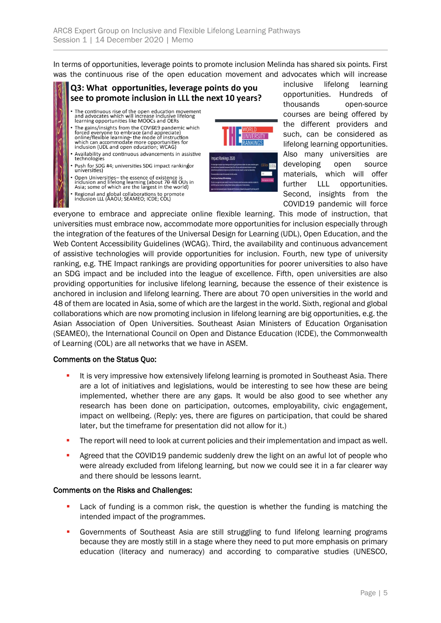In terms of opportunities, leverage points to promote inclusion Melinda has shared six points. First was the continuous rise of the open education movement and advocates which will increase

## Q3: What opportunities, leverage points do you see to promote inclusion in LLL the next 10 years?

- The continuous rise of the open education movement<br>and advocates which will increase inclusive lifelong<br>learning opportunities like MOOCs and OERs
- The gains/insights from the COVID19 pandemic which Free anisympatic form the COVIET parameteric window<br>forced everyone to embrace (and appreciate)<br>online/flexible learning- the mode of instruction<br>which can accommodate more opportunities for<br>inclusion (UDL and open educati
- Availability and continuous advancements in assistive technologies
- Push for SDG #4; universities SDG impact rankingfor<br>universities)
- Open Universities- the essence of existence is<br>inclusion and lifelong learning (about 7<del>0</del> 48 OUs in<br>Asia; some of which are the largest in the world)
- Regional and global collaborations to promote<br>inclusion LLL (AAOU; SEAMEO; ICDE; COL)



inclusive lifelong learning opportunities. Hundreds of thousands open-source courses are being offered by the different providers and such, can be considered as lifelong learning opportunities. Also many universities are developing open source materials, which will offer further LLL opportunities. Second, insights from the COVID19 pandemic will force

everyone to embrace and appreciate online flexible learning. This mode of instruction, that universities must embrace now, accommodate more opportunities for inclusion especially through the integration of the features of the Universal Design for Learning (UDL), Open Education, and the Web Content Accessibility Guidelines (WCAG). Third, the availability and continuous advancement of assistive technologies will provide opportunities for inclusion. Fourth, new type of university ranking, e.g. THE Impact rankings are providing opportunities for poorer universities to also have an SDG impact and be included into the league of excellence. Fifth, open universities are also providing opportunities for inclusive lifelong learning, because the essence of their existence is anchored in inclusion and lifelong learning. There are about 70 open universities in the world and 48 of them are located in Asia, some of which are the largest in the world. Sixth, regional and global collaborations which are now promoting inclusion in lifelong learning are big opportunities, e.g. the Asian Association of Open Universities. Southeast Asian Ministers of Education Organisation (SEAMEO), the International Council on Open and Distance Education (ICDE), the Commonwealth of Learning (COL) are all networks that we have in ASEM.

### Comments on the Status Quo:

- **.** It is very impressive how extensively lifelong learning is promoted in Southeast Asia. There are a lot of initiatives and legislations, would be interesting to see how these are being implemented, whether there are any gaps. It would be also good to see whether any research has been done on participation, outcomes, employability, civic engagement, impact on wellbeing. (Reply: yes, there are figures on participation, that could be shared later, but the timeframe for presentation did not allow for it.)
- **•** The report will need to look at current policies and their implementation and impact as well.
- **•** Agreed that the COVID19 pandemic suddenly drew the light on an awful lot of people who were already excluded from lifelong learning, but now we could see it in a far clearer way and there should be lessons learnt.

### Comments on the Risks and Challenges:

- Lack of funding is a common risk, the question is whether the funding is matching the intended impact of the programmes.
- **•** Governments of Southeast Asia are still struggling to fund lifelong learning programs because they are mostly still in a stage where they need to put more emphasis on primary education (literacy and numeracy) and according to comparative studies (UNESCO,